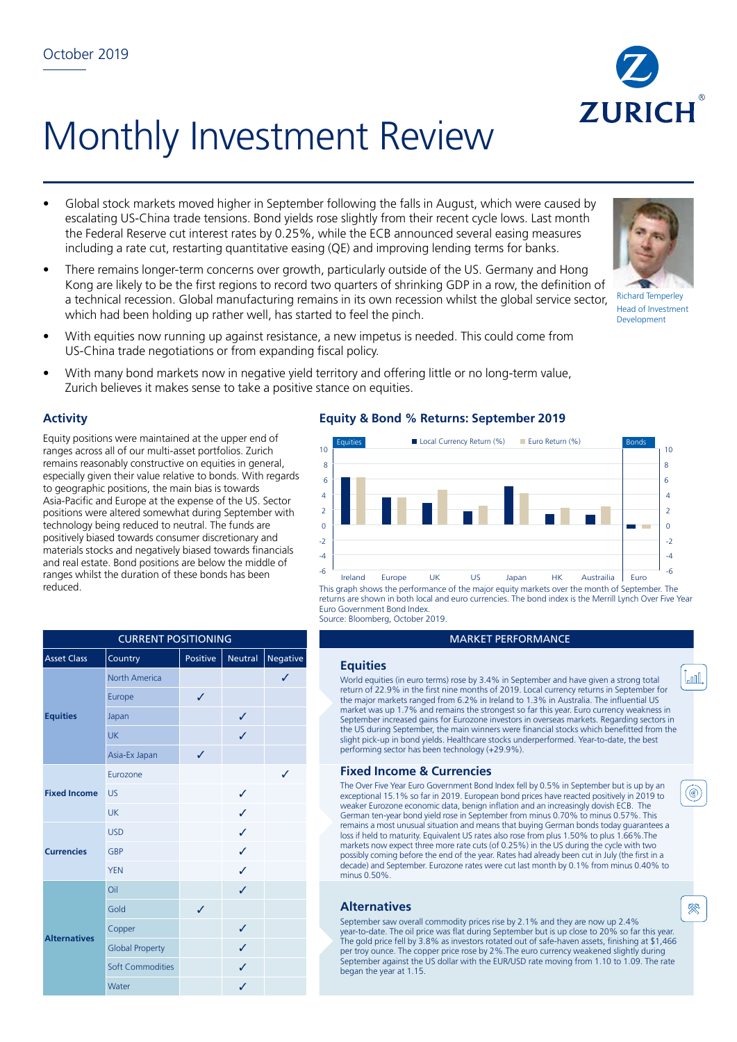# Monthly Investment Review

- Global stock markets moved higher in September following the falls in August, which were caused by escalating US-China trade tensions. Bond yields rose slightly from their recent cycle lows. Last month the Federal Reserve cut interest rates by 0.25%, while the ECB announced several easing measures including a rate cut, restarting quantitative easing (QE) and improving lending terms for banks.
- There remains longer-term concerns over growth, particularly outside of the US. Germany and Hong Kong are likely to be the first regions to record two quarters of shrinking GDP in a row, the definition of a technical recession. Global manufacturing remains in its own recession whilst the global service sector, which had been holding up rather well, has started to feel the pinch.
- With equities now running up against resistance, a new impetus is needed. This could come from US-China trade negotiations or from expanding fiscal policy.
- With many bond markets now in negative yield territory and offering little or no long-term value, Zurich believes it makes sense to take a positive stance on equities.

# **Activity**

Equity positions were maintained at the upper end of ranges across all of our multi-asset portfolios. Zurich remains reasonably constructive on equities in general, especially given their value relative to bonds. With regards to geographic positions, the main bias is towards Asia-Pacific and Europe at the expense of the US. Sector positions were altered somewhat during September with technology being reduced to neutral. The funds are positively biased towards consumer discretionary and materials stocks and negatively biased towards financials and real estate. Bond positions are below the middle of ranges whilst the duration of these bonds has been reduced.

| <b>Asset Class</b>  | Country                 | Positive | Neutral | <b>Negative</b> | <b>Equities</b>                 |
|---------------------|-------------------------|----------|---------|-----------------|---------------------------------|
| <b>Equities</b>     | <b>North America</b>    |          |         |                 | World equiti                    |
|                     | Europe                  | ✓        |         |                 | return of 22.<br>the major m    |
|                     | Japan                   |          | ✓       |                 | market was<br>September in      |
|                     | <b>UK</b>               |          | J       |                 | the US durin<br>slight pick-u   |
|                     | Asia-Ex Japan           | ✓        |         |                 | performing s                    |
| <b>Fixed Income</b> | Eurozone                |          |         | $\checkmark$    | <b>Fixed In</b>                 |
|                     | <b>US</b>               |          | ✓       |                 | The Over Five<br>exceptional 1  |
|                     | <b>UK</b>               |          | ✓       |                 | weaker Euro<br>German ten-      |
| <b>Currencies</b>   | <b>USD</b>              |          | ✓       |                 | remains a mo<br>loss if held to |
|                     | <b>GBP</b>              |          | J       |                 | markets now<br>possibly com     |
|                     | <b>YEN</b>              |          | ✓       |                 | decade) and<br>minus 0.50%      |
| <b>Alternatives</b> | Oil                     |          | ✓       |                 |                                 |
|                     | Gold                    | ✓        |         |                 | <b>Alternat</b>                 |
|                     | Copper                  |          | ✓       |                 | September s<br>year-to-date     |
|                     | <b>Global Property</b>  |          | J       |                 | The gold prid<br>per troy oun   |
|                     | <b>Soft Commodities</b> |          | J       |                 | September a<br>began the ye     |
|                     | Water                   |          | ✓       |                 |                                 |

# **Equity & Bond % Returns: September 2019**



This graph shows the performance of the major equity markets over the month of September. The returns are shown in both local and euro currencies. The bond index is the Merrill Lynch Over Five Year Euro Government Bond Index. Source: Bloomberg, October 2019.

#### **MARKET PERFORMANCE**

World equities (in euro terms) rose by 3.4% in September and have given a strong total return of 22.9% in the first nine months of 2019. Local currency returns in September for the major markets ranged from 6.2% in Ireland to 1.3% in Australia. The influential US market was up 1.7% and remains the strongest so far this year. Euro currency weakness in September increased gains for Eurozone investors in overseas markets. Regarding sectors in the US during September, the main winners were financial stocks which benefitted from the slight pick-up in bond yields. Healthcare stocks underperformed. Year-to-date, the best performing sector has been technology (+29.9%).

## **Fixed Income & Currencies**

The Over Five Year Euro Government Bond Index fell by 0.5% in September but is up by an exceptional 15.1% so far in 2019. European bond prices have reacted positively in 2019 to weaker Eurozone economic data, benign inflation and an increasingly dovish ECB. The German ten-year bond yield rose in September from minus 0.70% to minus 0.57%. This remains a most unusual situation and means that buying German bonds today guarantees a loss if held to maturity. Equivalent US rates also rose from plus 1.50% to plus 1.66%.The markets now expect three more rate cuts (of 0.25%) in the US during the cycle with two possibly coming before the end of the year. Rates had already been cut in July (the first in a decade) and September. Eurozone rates were cut last month by 0.1% from minus 0.40% to minus 0.50%.

### **Alternatives**

September saw overall commodity prices rise by 2.1% and they are now up 2.4% year-to-date. The oil price was flat during September but is up close to 20% so far this year. The gold price fell by 3.8% as investors rotated out of safe-haven assets, finishing at \$1,466 per troy ounce. The copper price rose by 2%.The euro currency weakened slightly during September against the US dollar with the EUR/USD rate moving from 1.10 to 1.09. The rate began the year at 1.15.









(◉

Lood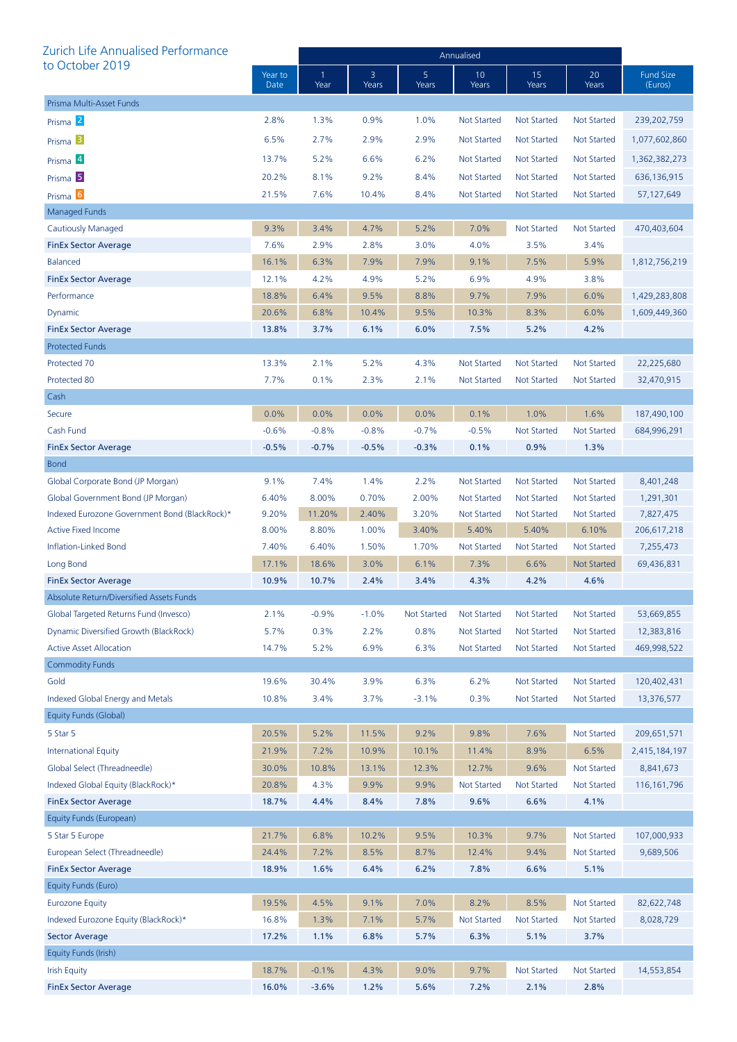| Zurich Life Annualised Performance            |                 | Annualised           |            |                    |                    |                    |                    |                             |  |
|-----------------------------------------------|-----------------|----------------------|------------|--------------------|--------------------|--------------------|--------------------|-----------------------------|--|
| to October 2019                               | Year to<br>Date | $\mathbf{1}$<br>Year | 3<br>Years | 5<br>Years         | 10<br>Years        | 15<br>Years        | 20<br>Years        | <b>Fund Size</b><br>(Euros) |  |
| Prisma Multi-Asset Funds                      |                 |                      |            |                    |                    |                    |                    |                             |  |
| Prisma <sup>2</sup>                           | 2.8%            | 1.3%                 | 0.9%       | 1.0%               | <b>Not Started</b> | <b>Not Started</b> | Not Started        | 239,202,759                 |  |
| Prisma <sup>3</sup>                           | 6.5%            | 2.7%                 | 2.9%       | 2.9%               | <b>Not Started</b> | Not Started        | Not Started        | 1,077,602,860               |  |
| Prisma 4                                      | 13.7%           | 5.2%                 | 6.6%       | 6.2%               | <b>Not Started</b> | <b>Not Started</b> | Not Started        | 1,362,382,273               |  |
| Prisma <sup>5</sup>                           | 20.2%           | 8.1%                 | 9.2%       | 8.4%               | <b>Not Started</b> | <b>Not Started</b> | Not Started        | 636,136,915                 |  |
| Prisma <sup>6</sup>                           | 21.5%           | 7.6%                 | 10.4%      | 8.4%               | <b>Not Started</b> | <b>Not Started</b> | Not Started        | 57,127,649                  |  |
| Managed Funds                                 |                 |                      |            |                    |                    |                    |                    |                             |  |
| Cautiously Managed                            | 9.3%            | 3.4%                 | 4.7%       | 5.2%               | 7.0%               | <b>Not Started</b> | Not Started        | 470,403,604                 |  |
| <b>FinEx Sector Average</b>                   | 7.6%            | 2.9%                 | 2.8%       | 3.0%               | 4.0%               | 3.5%               | 3.4%               |                             |  |
| <b>Balanced</b>                               | 16.1%           | 6.3%                 | 7.9%       | 7.9%               | 9.1%               | 7.5%               | 5.9%               | 1,812,756,219               |  |
| <b>FinEx Sector Average</b>                   | 12.1%           | 4.2%                 | 4.9%       | 5.2%               | 6.9%               | 4.9%               | 3.8%               |                             |  |
| Performance                                   | 18.8%           | 6.4%                 | 9.5%       | 8.8%               | 9.7%               | 7.9%               | 6.0%               | 1,429,283,808               |  |
| Dynamic                                       | 20.6%           | 6.8%                 | 10.4%      | 9.5%               | 10.3%              | 8.3%               | 6.0%               | 1,609,449,360               |  |
| <b>FinEx Sector Average</b>                   | 13.8%           | 3.7%                 | 6.1%       | 6.0%               | 7.5%               | 5.2%               | 4.2%               |                             |  |
| <b>Protected Funds</b>                        |                 |                      |            |                    |                    |                    |                    |                             |  |
| Protected 70                                  | 13.3%           | 2.1%                 | 5.2%       | 4.3%               | <b>Not Started</b> | <b>Not Started</b> | Not Started        | 22,225,680                  |  |
| Protected 80                                  | 7.7%            | 0.1%                 | 2.3%       | 2.1%               | <b>Not Started</b> | <b>Not Started</b> | Not Started        | 32,470,915                  |  |
| Cash                                          |                 |                      |            |                    |                    |                    |                    |                             |  |
| Secure                                        | 0.0%            | 0.0%                 | 0.0%       | 0.0%               | 0.1%               | 1.0%               | 1.6%               | 187,490,100                 |  |
| Cash Fund                                     | $-0.6%$         | $-0.8%$              | $-0.8%$    | $-0.7%$            | $-0.5%$            | <b>Not Started</b> | Not Started        | 684,996,291                 |  |
| <b>FinEx Sector Average</b>                   | $-0.5%$         | $-0.7%$              | $-0.5%$    | $-0.3%$            | 0.1%               | 0.9%               | 1.3%               |                             |  |
| <b>Bond</b>                                   |                 |                      |            |                    |                    |                    |                    |                             |  |
| Global Corporate Bond (JP Morgan)             | 9.1%            | 7.4%                 | 1.4%       | 2.2%               | <b>Not Started</b> | <b>Not Started</b> | <b>Not Started</b> | 8,401,248                   |  |
| Global Government Bond (JP Morgan)            | 6.40%           | 8.00%                | 0.70%      | 2.00%              | <b>Not Started</b> | <b>Not Started</b> | Not Started        | 1,291,301                   |  |
| Indexed Eurozone Government Bond (BlackRock)* | 9.20%           | 11.20%               | 2.40%      | 3.20%              | <b>Not Started</b> | Not Started        | <b>Not Started</b> | 7,827,475                   |  |
| <b>Active Fixed Income</b>                    | 8.00%           | 8.80%                | 1.00%      | 3.40%              | 5.40%              | 5.40%              | 6.10%              | 206,617,218                 |  |
| <b>Inflation-Linked Bond</b>                  | 7.40%           | 6.40%                | 1.50%      | 1.70%              | Not Started        | Not Started        | <b>Not Started</b> | 7,255,473                   |  |
| Long Bond                                     | 17.1%           | 18.6%                | 3.0%       | 6.1%               | 7.3%               | 6.6%               | <b>Not Started</b> | 69,436,831                  |  |
| <b>FinEx Sector Average</b>                   | 10.9%           | 10.7%                | 2.4%       | 3.4%               | 4.3%               | 4.2%               | 4.6%               |                             |  |
| Absolute Return/Diversified Assets Funds      |                 |                      |            |                    |                    |                    |                    |                             |  |
| Global Targeted Returns Fund (Invesco)        | 2.1%            | $-0.9%$              | $-1.0%$    | <b>Not Started</b> | <b>Not Started</b> | <b>Not Started</b> | <b>Not Started</b> | 53,669,855                  |  |
| Dynamic Diversified Growth (BlackRock)        | 5.7%            | 0.3%                 | 2.2%       | 0.8%               | <b>Not Started</b> | <b>Not Started</b> | <b>Not Started</b> | 12,383,816                  |  |
| <b>Active Asset Allocation</b>                | 14.7%           | 5.2%                 | 6.9%       | 6.3%               | <b>Not Started</b> | <b>Not Started</b> | <b>Not Started</b> | 469,998,522                 |  |
| <b>Commodity Funds</b>                        |                 |                      |            |                    |                    |                    |                    |                             |  |
| Gold                                          | 19.6%           | 30.4%                | 3.9%       | 6.3%               | 6.2%               | <b>Not Started</b> | <b>Not Started</b> | 120,402,431                 |  |
| Indexed Global Energy and Metals              | 10.8%           | 3.4%                 | 3.7%       | $-3.1%$            | 0.3%               | <b>Not Started</b> | <b>Not Started</b> | 13,376,577                  |  |
| Equity Funds (Global)                         |                 |                      |            |                    |                    |                    |                    |                             |  |
| 5 Star 5                                      | 20.5%           | 5.2%                 | 11.5%      | 9.2%               | 9.8%               | 7.6%               | <b>Not Started</b> | 209,651,571                 |  |
| <b>International Equity</b>                   | 21.9%           | 7.2%                 | 10.9%      | 10.1%              | 11.4%              | 8.9%               | 6.5%               | 2,415,184,197               |  |
| Global Select (Threadneedle)                  | 30.0%           | 10.8%                | 13.1%      | 12.3%              | 12.7%              | 9.6%               | <b>Not Started</b> | 8,841,673                   |  |
| Indexed Global Equity (BlackRock)*            | 20.8%           | 4.3%                 | 9.9%       | 9.9%               | Not Started        | <b>Not Started</b> | <b>Not Started</b> | 116, 161, 796               |  |
| <b>FinEx Sector Average</b>                   | 18.7%           | 4.4%                 | 8.4%       | 7.8%               | 9.6%               | 6.6%               | 4.1%               |                             |  |
| Equity Funds (European)                       |                 |                      |            |                    |                    |                    |                    |                             |  |
| 5 Star 5 Europe                               | 21.7%           | 6.8%                 | 10.2%      | 9.5%               | 10.3%              | 9.7%               | <b>Not Started</b> | 107,000,933                 |  |
| European Select (Threadneedle)                | 24.4%           | 7.2%                 | 8.5%       | 8.7%               | 12.4%              | 9.4%               | <b>Not Started</b> | 9,689,506                   |  |
| <b>FinEx Sector Average</b>                   | 18.9%           | 1.6%                 | 6.4%       | 6.2%               | 7.8%               | 6.6%               | 5.1%               |                             |  |
| Equity Funds (Euro)                           |                 |                      |            |                    |                    |                    |                    |                             |  |
| <b>Eurozone Equity</b>                        | 19.5%           | 4.5%                 | 9.1%       | 7.0%               | 8.2%               | 8.5%               | <b>Not Started</b> | 82,622,748                  |  |
| Indexed Eurozone Equity (BlackRock)*          | 16.8%           | 1.3%                 | 7.1%       | 5.7%               | <b>Not Started</b> | <b>Not Started</b> | <b>Not Started</b> | 8,028,729                   |  |
| <b>Sector Average</b>                         | 17.2%           | 1.1%                 | 6.8%       | 5.7%               | 6.3%               | 5.1%               | 3.7%               |                             |  |
| Equity Funds (Irish)                          |                 |                      |            |                    |                    |                    |                    |                             |  |
| <b>Irish Equity</b>                           | 18.7%           | $-0.1%$              | 4.3%       | 9.0%               | 9.7%               | <b>Not Started</b> | <b>Not Started</b> | 14,553,854                  |  |
| <b>FinEx Sector Average</b>                   | 16.0%           | $-3.6%$              | 1.2%       | 5.6%               | 7.2%               | 2.1%               | 2.8%               |                             |  |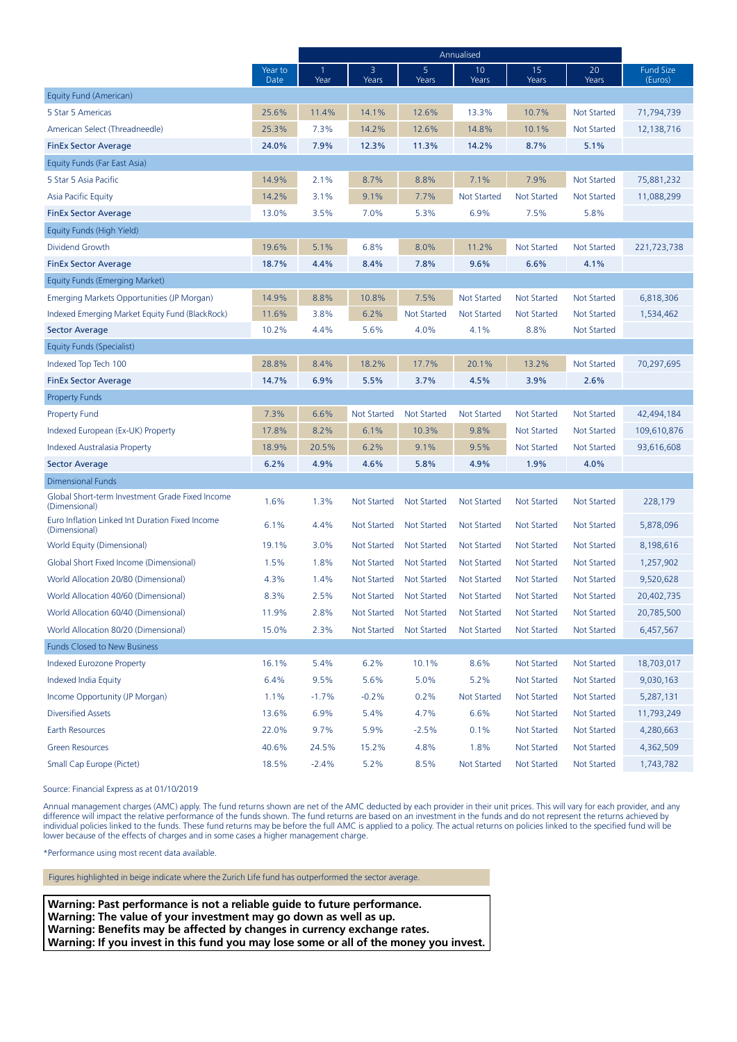|                                                                  |                 | Annualised |                    |                         |                    |                    |                    |                             |
|------------------------------------------------------------------|-----------------|------------|--------------------|-------------------------|--------------------|--------------------|--------------------|-----------------------------|
|                                                                  | Year to<br>Date | 1<br>Year  | 3<br>Years         | 5 <sup>5</sup><br>Years | 10<br>Years        | 15<br>Years        | 20<br>Years        | <b>Fund Size</b><br>(Euros) |
| Equity Fund (American)                                           |                 |            |                    |                         |                    |                    |                    |                             |
| 5 Star 5 Americas                                                | 25.6%           | 11.4%      | 14.1%              | 12.6%                   | 13.3%              | 10.7%              | <b>Not Started</b> | 71,794,739                  |
| American Select (Threadneedle)                                   | 25.3%           | 7.3%       | 14.2%              | 12.6%                   | 14.8%              | 10.1%              | <b>Not Started</b> | 12,138,716                  |
| <b>FinEx Sector Average</b>                                      | 24.0%           | 7.9%       | 12.3%              | 11.3%                   | 14.2%              | 8.7%               | 5.1%               |                             |
| Equity Funds (Far East Asia)                                     |                 |            |                    |                         |                    |                    |                    |                             |
| 5 Star 5 Asia Pacific                                            | 14.9%           | 2.1%       | 8.7%               | 8.8%                    | 7.1%               | 7.9%               | <b>Not Started</b> | 75,881,232                  |
| Asia Pacific Equity                                              | 14.2%           | 3.1%       | 9.1%               | 7.7%                    | <b>Not Started</b> | <b>Not Started</b> | <b>Not Started</b> | 11,088,299                  |
| <b>FinEx Sector Average</b>                                      | 13.0%           | 3.5%       | 7.0%               | 5.3%                    | 6.9%               | 7.5%               | 5.8%               |                             |
| Equity Funds (High Yield)                                        |                 |            |                    |                         |                    |                    |                    |                             |
| Dividend Growth                                                  | 19.6%           | 5.1%       | 6.8%               | 8.0%                    | 11.2%              | <b>Not Started</b> | <b>Not Started</b> | 221,723,738                 |
| <b>FinEx Sector Average</b>                                      | 18.7%           | 4.4%       | 8.4%               | 7.8%                    | 9.6%               | 6.6%               | 4.1%               |                             |
| Equity Funds (Emerging Market)                                   |                 |            |                    |                         |                    |                    |                    |                             |
| Emerging Markets Opportunities (JP Morgan)                       | 14.9%           | 8.8%       | 10.8%              | 7.5%                    | <b>Not Started</b> | <b>Not Started</b> | <b>Not Started</b> | 6,818,306                   |
| Indexed Emerging Market Equity Fund (BlackRock)                  | 11.6%           | 3.8%       | 6.2%               | <b>Not Started</b>      | <b>Not Started</b> | <b>Not Started</b> | Not Started        | 1,534,462                   |
| <b>Sector Average</b>                                            | 10.2%           | 4.4%       | 5.6%               | 4.0%                    | 4.1%               | 8.8%               | Not Started        |                             |
| Equity Funds (Specialist)                                        |                 |            |                    |                         |                    |                    |                    |                             |
| Indexed Top Tech 100                                             | 28.8%           | 8.4%       | 18.2%              | 17.7%                   | 20.1%              | 13.2%              | <b>Not Started</b> | 70,297,695                  |
| <b>FinEx Sector Average</b>                                      | 14.7%           | 6.9%       | 5.5%               | 3.7%                    | 4.5%               | 3.9%               | 2.6%               |                             |
| <b>Property Funds</b>                                            |                 |            |                    |                         |                    |                    |                    |                             |
| <b>Property Fund</b>                                             | 7.3%            | 6.6%       | <b>Not Started</b> | <b>Not Started</b>      | <b>Not Started</b> | <b>Not Started</b> | <b>Not Started</b> | 42,494,184                  |
| Indexed European (Ex-UK) Property                                | 17.8%           | 8.2%       | 6.1%               | 10.3%                   | 9.8%               | <b>Not Started</b> | Not Started        | 109,610,876                 |
| Indexed Australasia Property                                     | 18.9%           | 20.5%      | 6.2%               | 9.1%                    | 9.5%               | <b>Not Started</b> | Not Started        | 93,616,608                  |
| <b>Sector Average</b>                                            | 6.2%            | 4.9%       | 4.6%               | 5.8%                    | 4.9%               | 1.9%               | 4.0%               |                             |
| <b>Dimensional Funds</b>                                         |                 |            |                    |                         |                    |                    |                    |                             |
| Global Short-term Investment Grade Fixed Income<br>(Dimensional) | 1.6%            | 1.3%       | Not Started        | <b>Not Started</b>      | <b>Not Started</b> | <b>Not Started</b> | Not Started        | 228,179                     |
| Euro Inflation Linked Int Duration Fixed Income<br>(Dimensional) | 6.1%            | 4.4%       | Not Started        | <b>Not Started</b>      | <b>Not Started</b> | <b>Not Started</b> | Not Started        | 5,878,096                   |
| World Equity (Dimensional)                                       | 19.1%           | 3.0%       | Not Started        | <b>Not Started</b>      | <b>Not Started</b> | <b>Not Started</b> | Not Started        | 8,198,616                   |
| Global Short Fixed Income (Dimensional)                          | 1.5%            | 1.8%       | <b>Not Started</b> | <b>Not Started</b>      | <b>Not Started</b> | <b>Not Started</b> | Not Started        | 1,257,902                   |
| World Allocation 20/80 (Dimensional)                             | 4.3%            | 1.4%       | <b>Not Started</b> | <b>Not Started</b>      | <b>Not Started</b> | <b>Not Started</b> | Not Started        | 9,520,628                   |
| World Allocation 40/60 (Dimensional)                             | 8.3%            | 2.5%       | Not Started        | <b>Not Started</b>      | <b>Not Started</b> | <b>Not Started</b> | Not Started        | 20,402,735                  |
| World Allocation 60/40 (Dimensional)                             | 11.9%           | 2.8%       | Not Started        | <b>Not Started</b>      | Not Started        | Not Started        | Not Started        | 20,785,500                  |
| World Allocation 80/20 (Dimensional)                             | 15.0%           | 2.3%       | <b>Not Started</b> | <b>Not Started</b>      | <b>Not Started</b> | <b>Not Started</b> | <b>Not Started</b> | 6,457,567                   |
| <b>Funds Closed to New Business</b>                              |                 |            |                    |                         |                    |                    |                    |                             |
| <b>Indexed Eurozone Property</b>                                 | 16.1%           | 5.4%       | 6.2%               | 10.1%                   | 8.6%               | <b>Not Started</b> | Not Started        | 18,703,017                  |
| Indexed India Equity                                             | 6.4%            | 9.5%       | 5.6%               | 5.0%                    | 5.2%               | Not Started        | Not Started        | 9,030,163                   |
| Income Opportunity (JP Morgan)                                   | 1.1%            | $-1.7%$    | $-0.2%$            | 0.2%                    | Not Started        | <b>Not Started</b> | Not Started        | 5,287,131                   |
| <b>Diversified Assets</b>                                        | 13.6%           | 6.9%       | 5.4%               | 4.7%                    | 6.6%               | Not Started        | Not Started        | 11,793,249                  |
| Earth Resources                                                  | 22.0%           | $9.7\%$    | 5.9%               | $-2.5%$                 | 0.1%               | Not Started        | <b>Not Started</b> | 4,280,663                   |
| <b>Green Resources</b>                                           | 40.6%           | 24.5%      | 15.2%              | 4.8%                    | 1.8%               | Not Started        | Not Started        | 4,362,509                   |
| Small Cap Europe (Pictet)                                        | 18.5%           | $-2.4%$    | 5.2%               | 8.5%                    | <b>Not Started</b> | Not Started        | <b>Not Started</b> | 1,743,782                   |

Source: Financial Express as at 01/10/2019

Annual management charges (AMC) apply. The fund returns shown are net of the AMC deducted by each provider in their unit prices. This will vary for each provider, and any difference will impact the relative performance of the funds shown. The fund returns are based on an investment in the funds and do not represent the returns achieved by individual policies linked to the funds. These fund returns may be before the full AMC is applied to a policy. The actual returns on policies linked to the specified fund will be lower because of the effects of charges and in some cases a higher management charge.

\*Performance using most recent data available.

Figures highlighted in beige indicate where the Zurich Life fund has outperformed the sector average.

**Warning: Past performance is not a reliable guide to future performance. Warning: The value of your investment may go down as well as up. Warning: Benefits may be affected by changes in currency exchange rates. Warning: If you invest in this fund you may lose some or all of the money you invest.**